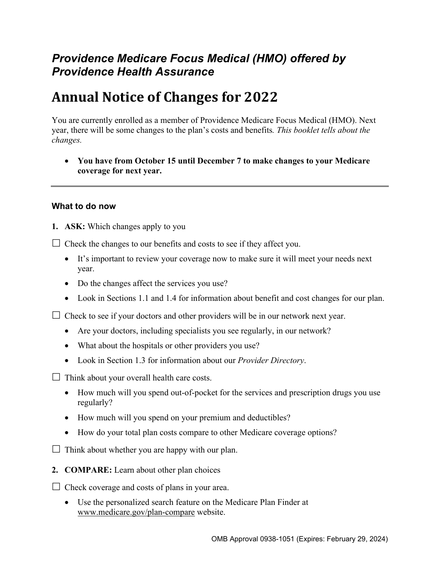# *Providence Medicare Focus Medical (HMO) offered by Providence Health Assurance*

# **Annual Notice of Changes for 2022**

You are currently enrolled as a member of Providence Medicare Focus Medical (HMO). Next year, there will be some changes to the plan's costs and benefits*. This booklet tells about the changes.* 

 **You have from October 15 until December 7 to make changes to your Medicare coverage for next year.**

#### **What to do now**

**1. ASK:** Which changes apply to you

 $\Box$  Check the changes to our benefits and costs to see if they affect you.

- It's important to review your coverage now to make sure it will meet your needs next year.
- Do the changes affect the services you use?
- Look in Sections 1.1 and 1.4 for information about benefit and cost changes for our plan.

 $\Box$  Check to see if your doctors and other providers will be in our network next year.

- Are your doctors, including specialists you see regularly, in our network?
- What about the hospitals or other providers you use?
- Look in Section 1.3 for information about our *Provider Directory*.

 $\Box$  Think about your overall health care costs.

- How much will you spend out-of-pocket for the services and prescription drugs you use regularly?
- How much will you spend on your premium and deductibles?
- How do your total plan costs compare to other Medicare coverage options?

 $\Box$  Think about whether you are happy with our plan.

**2. COMPARE:** Learn about other plan choices

 $\Box$  Check coverage and costs of plans in your area.

 Use the personalized search feature on the Medicare Plan Finder at [www.medicare.gov/plan-compare](http://www.medicare.gov/plan-compare) website.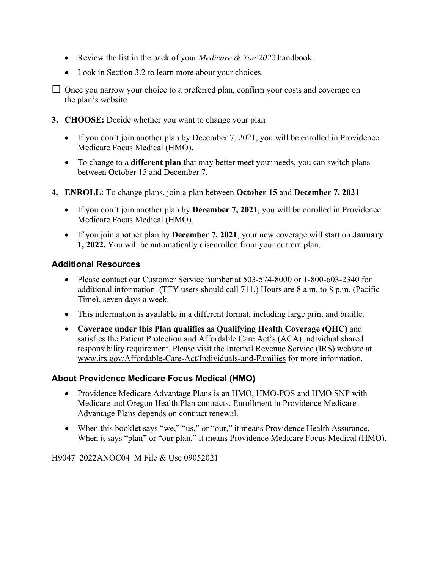- Review the list in the back of your *Medicare & You 2022* handbook.
- Look in Section 3.2 to learn more about your choices.

 $\Box$  Once you narrow your choice to a preferred plan, confirm your costs and coverage on the plan's website.

- **3. CHOOSE:** Decide whether you want to change your plan
	- If you don't join another plan by December 7, 2021, you will be enrolled in Providence Medicare Focus Medical (HMO).
	- To change to a **different plan** that may better meet your needs, you can switch plans between October 15 and December 7.
- **4. ENROLL:** To change plans, join a plan between **October 15** and **December 7, 2021**
	- If you don't join another plan by **December 7, 2021**, you will be enrolled in Providence Medicare Focus Medical (HMO).
	- If you join another plan by **December 7, 2021**, your new coverage will start on **January 1, 2022.** You will be automatically disenrolled from your current plan.

### **Additional Resources**

- Please contact our Customer Service number at 503-574-8000 or 1-800-603-2340 for additional information. (TTY users should call 711.) Hours are 8 a.m. to 8 p.m. (Pacific Time), seven days a week.
- This information is available in a different format, including large print and braille.
- **Coverage under this Plan qualifies as Qualifying Health Coverage (QHC)** and satisfies the Patient Protection and Affordable Care Act's (ACA) individual shared responsibility requirement. Please visit the Internal Revenue Service (IRS) website at [www.irs.gov/Affordable-Care-Act/Individuals-and-Families](http://www.irs.gov/Affordable-Care-Act/Individuals-and-Families) for more information.

## **About Providence Medicare Focus Medical (HMO)**

- Providence Medicare Advantage Plans is an HMO, HMO-POS and HMO SNP with Medicare and Oregon Health Plan contracts. Enrollment in Providence Medicare Advantage Plans depends on contract renewal.
- When this booklet says "we," "us," or "our," it means Providence Health Assurance. When it says "plan" or "our plan," it means Providence Medicare Focus Medical (HMO).

H9047\_2022ANOC04\_M File & Use 09052021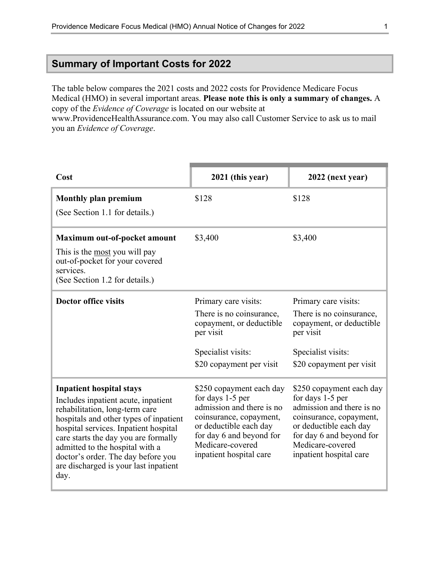# <span id="page-2-0"></span>**Summary of Important Costs for 2022**

The table below compares the 2021 costs and 2022 costs for Providence Medicare Focus Medical (HMO) in several important areas. **Please note this is only a summary of changes.** A copy of the *Evidence of Coverage* is located on our website at [www.ProvidenceHealthAssurance.com.](http://www.ProvidenceHealthAssurance.com) You may also call Customer Service to ask us to mail you an *Evidence of Coverage*.

| Cost                                                                                                                                                                                                                                                                                                                                                          | 2021 (this year)                                                                                                                                                                                          | 2022 (next year)                                                                                                                                                                                          |
|---------------------------------------------------------------------------------------------------------------------------------------------------------------------------------------------------------------------------------------------------------------------------------------------------------------------------------------------------------------|-----------------------------------------------------------------------------------------------------------------------------------------------------------------------------------------------------------|-----------------------------------------------------------------------------------------------------------------------------------------------------------------------------------------------------------|
| <b>Monthly plan premium</b><br>(See Section 1.1 for details.)                                                                                                                                                                                                                                                                                                 | \$128                                                                                                                                                                                                     | \$128                                                                                                                                                                                                     |
| Maximum out-of-pocket amount<br>This is the <u>most</u> you will pay<br>out-of-pocket for your covered<br>services.<br>(See Section 1.2 for details.)                                                                                                                                                                                                         | \$3,400                                                                                                                                                                                                   | \$3,400                                                                                                                                                                                                   |
| <b>Doctor office visits</b>                                                                                                                                                                                                                                                                                                                                   | Primary care visits:<br>There is no coinsurance,<br>copayment, or deductible<br>per visit<br>Specialist visits:<br>\$20 copayment per visit                                                               | Primary care visits:<br>There is no coinsurance,<br>copayment, or deductible<br>per visit<br>Specialist visits:<br>\$20 copayment per visit                                                               |
| <b>Inpatient hospital stays</b><br>Includes inpatient acute, inpatient<br>rehabilitation, long-term care<br>hospitals and other types of inpatient<br>hospital services. Inpatient hospital<br>care starts the day you are formally<br>admitted to the hospital with a<br>doctor's order. The day before you<br>are discharged is your last inpatient<br>day. | \$250 copayment each day<br>for days 1-5 per<br>admission and there is no<br>coinsurance, copayment,<br>or deductible each day<br>for day 6 and beyond for<br>Medicare-covered<br>inpatient hospital care | \$250 copayment each day<br>for days 1-5 per<br>admission and there is no<br>coinsurance, copayment,<br>or deductible each day<br>for day 6 and beyond for<br>Medicare-covered<br>inpatient hospital care |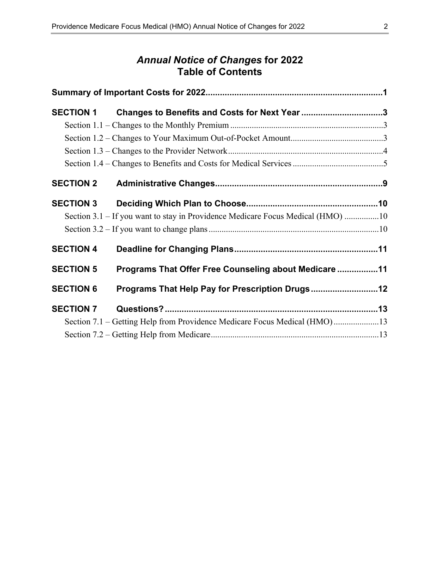# *Annual Notice of Changes* **for 2022 Table of Contents**

| <b>SECTION 1</b> | Changes to Benefits and Costs for Next Year 3                                   |  |
|------------------|---------------------------------------------------------------------------------|--|
|                  |                                                                                 |  |
|                  |                                                                                 |  |
|                  |                                                                                 |  |
|                  |                                                                                 |  |
| <b>SECTION 2</b> |                                                                                 |  |
| <b>SECTION 3</b> |                                                                                 |  |
|                  | Section 3.1 – If you want to stay in Providence Medicare Focus Medical (HMO) 10 |  |
|                  |                                                                                 |  |
| <b>SECTION 4</b> |                                                                                 |  |
| <b>SECTION 5</b> | Programs That Offer Free Counseling about Medicare 11                           |  |
| <b>SECTION 6</b> | Programs That Help Pay for Prescription Drugs12                                 |  |
| <b>SECTION 7</b> |                                                                                 |  |
|                  | Section 7.1 – Getting Help from Providence Medicare Focus Medical (HMO)13       |  |
|                  |                                                                                 |  |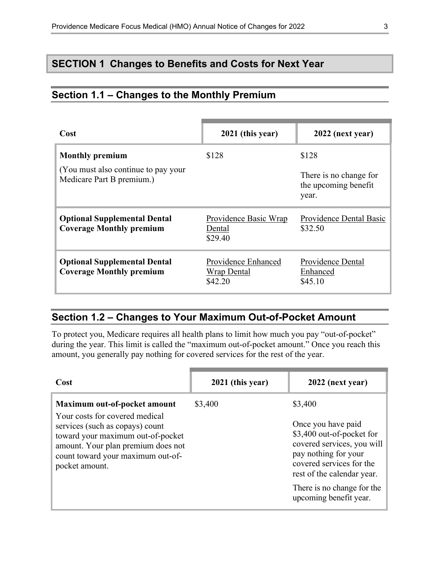# <span id="page-4-0"></span>**SECTION 1 Changes to Benefits and Costs for Next Year**

# <span id="page-4-1"></span>**Section 1.1 – Changes to the Monthly Premium**

| Cost                                                                   | 2021 (this year)                              | 2022 (next year)                                        |
|------------------------------------------------------------------------|-----------------------------------------------|---------------------------------------------------------|
| <b>Monthly premium</b>                                                 | \$128                                         | \$128                                                   |
| (You must also continue to pay your<br>Medicare Part B premium.)       |                                               | There is no change for<br>the upcoming benefit<br>year. |
| <b>Optional Supplemental Dental</b><br><b>Coverage Monthly premium</b> | Providence Basic Wrap<br>Dental<br>\$29.40    | Providence Dental Basic<br>\$32.50                      |
| <b>Optional Supplemental Dental</b><br><b>Coverage Monthly premium</b> | Providence Enhanced<br>Wrap Dental<br>\$42.20 | Providence Dental<br>Enhanced<br>\$45.10                |

# <span id="page-4-2"></span>**Section 1.2 – Changes to Your Maximum Out-of-Pocket Amount**

 amount, you generally pay nothing for covered services for the rest of the year. To protect you, Medicare requires all health plans to limit how much you pay "out-of-pocket" during the year. This limit is called the "maximum out-of-pocket amount." Once you reach this

| Cost                                                                                                                                                              | 2021 (this year) | 2022 (next year)                                                                                                                                                |
|-------------------------------------------------------------------------------------------------------------------------------------------------------------------|------------------|-----------------------------------------------------------------------------------------------------------------------------------------------------------------|
| Maximum out-of-pocket amount<br>Your costs for covered medical                                                                                                    | \$3,400          | \$3,400                                                                                                                                                         |
| services (such as copays) count<br>toward your maximum out-of-pocket<br>amount. Your plan premium does not<br>count toward your maximum out-of-<br>pocket amount. |                  | Once you have paid<br>\$3,400 out-of-pocket for<br>covered services, you will<br>pay nothing for your<br>covered services for the<br>rest of the calendar year. |
|                                                                                                                                                                   |                  | There is no change for the<br>upcoming benefit year.                                                                                                            |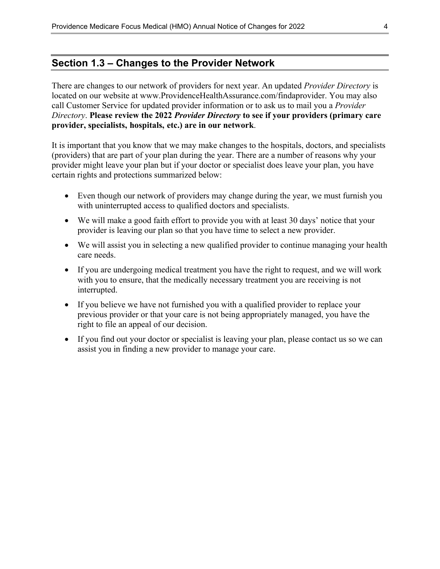## <span id="page-5-0"></span>**Section 1.3 – Changes to the Provider Network**

 **provider, specialists, hospitals, etc.) are in our network**. There are changes to our network of providers for next year. An updated *Provider Directory* is located on our website at [www.ProvidenceHealthAssurance.com/findaprovider](http://www.ProvidenceHealthAssurance.com/findaprovider). You may also call Customer Service for updated provider information or to ask us to mail you a *Provider Directory*. **Please review the 2022** *Provider Directory* **to see if your providers (primary care** 

It is important that you know that we may make changes to the hospitals, doctors, and specialists (providers) that are part of your plan during the year. There are a number of reasons why your provider might leave your plan but if your doctor or specialist does leave your plan, you have certain rights and protections summarized below:

- Even though our network of providers may change during the year, we must furnish you with uninterrupted access to qualified doctors and specialists.
- We will make a good faith effort to provide you with at least 30 days' notice that your provider is leaving our plan so that you have time to select a new provider.
- We will assist you in selecting a new qualified provider to continue managing your health care needs.
- If you are undergoing medical treatment you have the right to request, and we will work with you to ensure, that the medically necessary treatment you are receiving is not interrupted.
- If you believe we have not furnished you with a qualified provider to replace your previous provider or that your care is not being appropriately managed, you have the right to file an appeal of our decision.
- If you find out your doctor or specialist is leaving your plan, please contact us so we can assist you in finding a new provider to manage your care.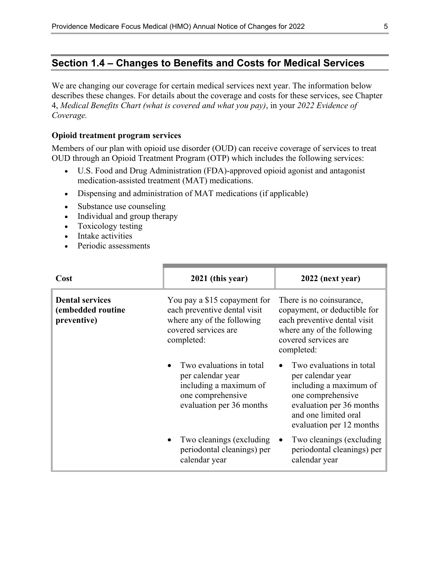# <span id="page-6-0"></span>**Section 1.4 – Changes to Benefits and Costs for Medical Services**

We are changing our coverage for certain medical services next year. The information below describes these changes. For details about the coverage and costs for these services, see Chapter 4, *Medical Benefits Chart (what is covered and what you pay)*, in your *2022 Evidence of Coverage.* 

#### **Opioid treatment program services**

Members of our plan with opioid use disorder (OUD) can receive coverage of services to treat OUD through an Opioid Treatment Program (OTP) which includes the following services:

- U.S. Food and Drug Administration (FDA)-approved opioid agonist and antagonist medication-assisted treatment (MAT) medications.
- Dispensing and administration of MAT medications (if applicable)
- Substance use counseling
- Individual and group therapy
- Toxicology testing
- Intake activities
- Periodic assessments

| Cost                                                       | 2021 (this year)                                                                                                                 | 2022 (next year)                                                                                                                                                             |
|------------------------------------------------------------|----------------------------------------------------------------------------------------------------------------------------------|------------------------------------------------------------------------------------------------------------------------------------------------------------------------------|
| <b>Dental services</b><br>(embedded routine<br>preventive) | You pay a \$15 copayment for<br>each preventive dental visit<br>where any of the following<br>covered services are<br>completed: | There is no coinsurance,<br>copayment, or deductible for<br>each preventive dental visit<br>where any of the following<br>covered services are<br>completed:                 |
|                                                            | Two evaluations in total<br>per calendar year<br>including a maximum of<br>one comprehensive<br>evaluation per 36 months         | Two evaluations in total<br>per calendar year<br>including a maximum of<br>one comprehensive<br>evaluation per 36 months<br>and one limited oral<br>evaluation per 12 months |
|                                                            | Two cleanings (excluding)<br>$\bullet$<br>periodontal cleanings) per<br>calendar year                                            | Two cleanings (excluding)<br>periodontal cleanings) per<br>calendar year                                                                                                     |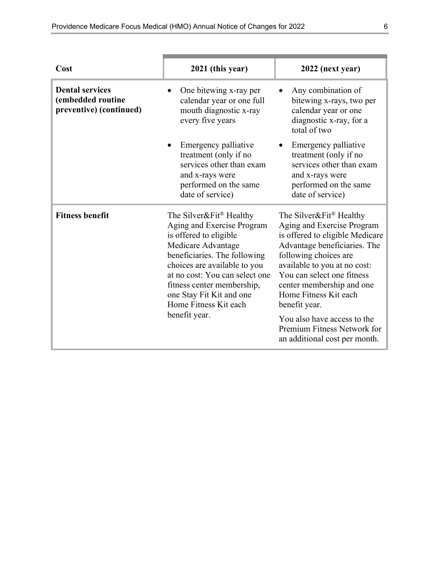| Cost                                                                   | 2021 (this year)                                                                                                                                                                                                                                                                           | 2022 (next year)                                                                                                                                                                                                                                                                                   |
|------------------------------------------------------------------------|--------------------------------------------------------------------------------------------------------------------------------------------------------------------------------------------------------------------------------------------------------------------------------------------|----------------------------------------------------------------------------------------------------------------------------------------------------------------------------------------------------------------------------------------------------------------------------------------------------|
| <b>Dental services</b><br>(embedded routine<br>preventive) (continued) | One bitewing x-ray per<br>calendar year or one full<br>mouth diagnostic x-ray<br>every five years                                                                                                                                                                                          | Any combination of<br>bitewing x-rays, two per<br>calendar year or one<br>diagnostic x-ray, for a<br>total of two                                                                                                                                                                                  |
|                                                                        | Emergency palliative<br>treatment (only if no<br>services other than exam<br>and x-rays were<br>performed on the same<br>date of service)                                                                                                                                                  | Emergency palliative<br>treatment (only if no<br>services other than exam<br>and x-rays were<br>performed on the same<br>date of service)                                                                                                                                                          |
| <b>Fitness benefit</b>                                                 | The Silver&Fit® Healthy<br>Aging and Exercise Program<br>is offered to eligible<br>Medicare Advantage<br>beneficiaries. The following<br>choices are available to you<br>at no cost: You can select one<br>fitness center membership,<br>one Stay Fit Kit and one<br>Home Fitness Kit each | The Silver&Fit <sup>®</sup> Healthy<br>Aging and Exercise Program<br>is offered to eligible Medicare<br>Advantage beneficiaries. The<br>following choices are<br>available to you at no cost:<br>You can select one fitness<br>center membership and one<br>Home Fitness Kit each<br>benefit year. |
|                                                                        | benefit year.                                                                                                                                                                                                                                                                              | You also have access to the<br>Premium Fitness Network for<br>an additional cost per month.                                                                                                                                                                                                        |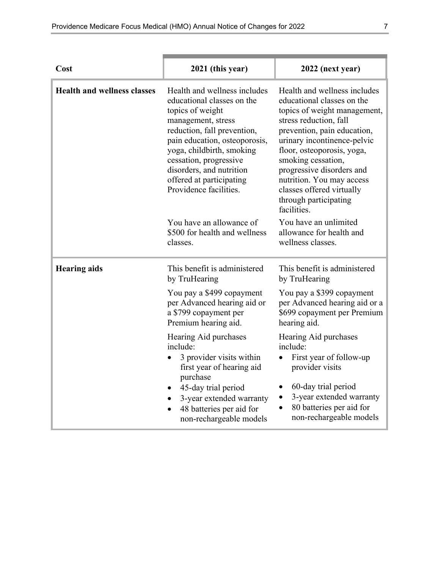| Cost                               | 2021 (this year)                                                                                                                                                                                                                                                                                              | 2022 (next year)                                                                                                                                                                                                                                                                                                                                                      |
|------------------------------------|---------------------------------------------------------------------------------------------------------------------------------------------------------------------------------------------------------------------------------------------------------------------------------------------------------------|-----------------------------------------------------------------------------------------------------------------------------------------------------------------------------------------------------------------------------------------------------------------------------------------------------------------------------------------------------------------------|
| <b>Health and wellness classes</b> | Health and wellness includes<br>educational classes on the<br>topics of weight<br>management, stress<br>reduction, fall prevention,<br>pain education, osteoporosis,<br>yoga, childbirth, smoking<br>cessation, progressive<br>disorders, and nutrition<br>offered at participating<br>Providence facilities. | Health and wellness includes<br>educational classes on the<br>topics of weight management,<br>stress reduction, fall<br>prevention, pain education,<br>urinary incontinence-pelvic<br>floor, osteoporosis, yoga,<br>smoking cessation,<br>progressive disorders and<br>nutrition. You may access<br>classes offered virtually<br>through participating<br>facilities. |
|                                    | You have an allowance of<br>\$500 for health and wellness<br>classes.                                                                                                                                                                                                                                         | You have an unlimited<br>allowance for health and<br>wellness classes.                                                                                                                                                                                                                                                                                                |
| <b>Hearing aids</b>                | This benefit is administered<br>by TruHearing                                                                                                                                                                                                                                                                 | This benefit is administered<br>by TruHearing                                                                                                                                                                                                                                                                                                                         |
|                                    | You pay a \$499 copayment<br>per Advanced hearing aid or<br>a \$799 copayment per<br>Premium hearing aid.                                                                                                                                                                                                     | You pay a \$399 copayment<br>per Advanced hearing aid or a<br>\$699 copayment per Premium<br>hearing aid.                                                                                                                                                                                                                                                             |
|                                    | Hearing Aid purchases<br>include:<br>3 provider visits within<br>first year of hearing aid<br>purchase<br>45-day trial period<br>3-year extended warranty<br>48 batteries per aid for<br>non-rechargeable models                                                                                              | Hearing Aid purchases<br>include:<br>First year of follow-up<br>provider visits<br>60-day trial period<br>$\bullet$<br>3-year extended warranty<br>$\bullet$<br>80 batteries per aid for<br>$\bullet$<br>non-rechargeable models                                                                                                                                      |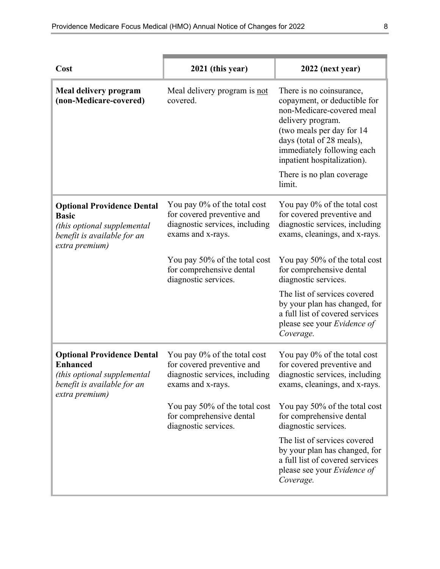| Cost                                                                                                                                 | 2021 (this year)                                                                                                  | 2022 (next year)                                                                                                                                                                                                                                                           |
|--------------------------------------------------------------------------------------------------------------------------------------|-------------------------------------------------------------------------------------------------------------------|----------------------------------------------------------------------------------------------------------------------------------------------------------------------------------------------------------------------------------------------------------------------------|
| Meal delivery program<br>(non-Medicare-covered)                                                                                      | Meal delivery program is not<br>covered.                                                                          | There is no coinsurance,<br>copayment, or deductible for<br>non-Medicare-covered meal<br>delivery program.<br>(two meals per day for 14)<br>days (total of 28 meals),<br>immediately following each<br>inpatient hospitalization).<br>There is no plan coverage.<br>limit. |
| <b>Optional Providence Dental</b><br><b>Basic</b><br>(this optional supplemental<br>benefit is available for an<br>extra premium)    | You pay 0% of the total cost<br>for covered preventive and<br>diagnostic services, including<br>exams and x-rays. | You pay 0% of the total cost<br>for covered preventive and<br>diagnostic services, including<br>exams, cleanings, and x-rays.                                                                                                                                              |
|                                                                                                                                      | You pay 50% of the total cost<br>for comprehensive dental<br>diagnostic services.                                 | You pay 50% of the total cost<br>for comprehensive dental<br>diagnostic services.                                                                                                                                                                                          |
|                                                                                                                                      |                                                                                                                   | The list of services covered<br>by your plan has changed, for<br>a full list of covered services<br>please see your Evidence of<br>Coverage.                                                                                                                               |
| <b>Optional Providence Dental</b><br><b>Enhanced</b><br>(this optional supplemental<br>benefit is available for an<br>extra premium) | You pay 0% of the total cost<br>for covered preventive and<br>diagnostic services, including<br>exams and x-rays. | You pay 0% of the total cost<br>for covered preventive and<br>diagnostic services, including<br>exams, cleanings, and x-rays.                                                                                                                                              |
|                                                                                                                                      | You pay 50% of the total cost<br>for comprehensive dental<br>diagnostic services.                                 | You pay 50% of the total cost<br>for comprehensive dental<br>diagnostic services.                                                                                                                                                                                          |
|                                                                                                                                      |                                                                                                                   | The list of services covered<br>by your plan has changed, for<br>a full list of covered services<br>please see your <i>Evidence of</i><br>Coverage.                                                                                                                        |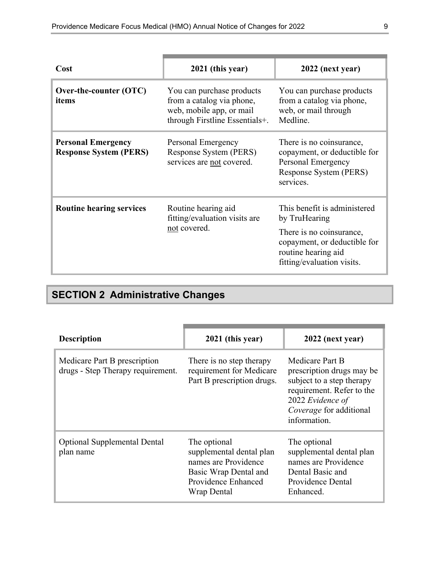| Cost                                                       | 2021 (this year)                                                                                                     | 2022 (next year)                                                                                                                                               |
|------------------------------------------------------------|----------------------------------------------------------------------------------------------------------------------|----------------------------------------------------------------------------------------------------------------------------------------------------------------|
| Over-the-counter (OTC)<br>items                            | You can purchase products<br>from a catalog via phone,<br>web, mobile app, or mail<br>through Firstline Essentials+. | You can purchase products<br>from a catalog via phone,<br>web, or mail through<br>Medline.                                                                     |
| <b>Personal Emergency</b><br><b>Response System (PERS)</b> | Personal Emergency<br>Response System (PERS)<br>services are not covered.                                            | There is no coinsurance,<br>copayment, or deductible for<br>Personal Emergency<br>Response System (PERS)<br>services.                                          |
| <b>Routine hearing services</b>                            | Routine hearing aid<br>fitting/evaluation visits are<br>not covered.                                                 | This benefit is administered<br>by TruHearing<br>There is no coinsurance,<br>copayment, or deductible for<br>routine hearing aid<br>fitting/evaluation visits. |

# <span id="page-10-0"></span>**SECTION 2 Administrative Changes**

| <b>Description</b>                                                | 2021 (this year)                                                                                                                | 2022 (next year)                                                                                                                                                      |
|-------------------------------------------------------------------|---------------------------------------------------------------------------------------------------------------------------------|-----------------------------------------------------------------------------------------------------------------------------------------------------------------------|
| Medicare Part B prescription<br>drugs - Step Therapy requirement. | There is no step therapy<br>requirement for Medicare<br>Part B prescription drugs.                                              | Medicare Part B<br>prescription drugs may be<br>subject to a step therapy<br>requirement. Refer to the<br>2022 Evidence of<br>Coverage for additional<br>information. |
| <b>Optional Supplemental Dental</b><br>plan name                  | The optional<br>supplemental dental plan<br>names are Providence<br>Basic Wrap Dental and<br>Providence Enhanced<br>Wrap Dental | The optional<br>supplemental dental plan<br>names are Providence<br>Dental Basic and<br>Providence Dental<br>Enhanced.                                                |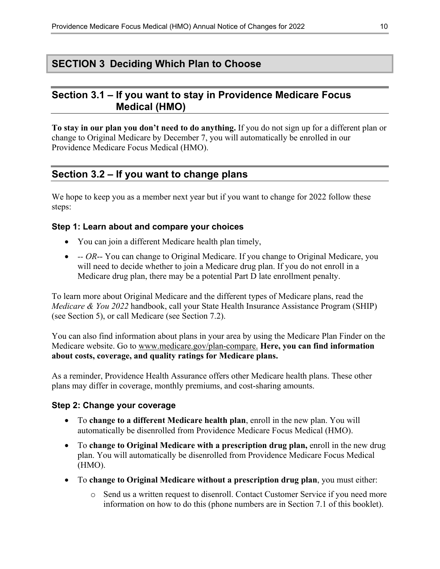# <span id="page-11-0"></span>**SECTION 3 Deciding Which Plan to Choose**

# <span id="page-11-1"></span>**Section 3.1 – If you want to stay in Providence Medicare Focus Medical (HMO)**

**To stay in our plan you don't need to do anything.** If you do not sign up for a different plan or change to Original Medicare by December 7, you will automatically be enrolled in our Providence Medicare Focus Medical (HMO).

# <span id="page-11-2"></span>**Section 3.2 – If you want to change plans**

We hope to keep you as a member next year but if you want to change for 2022 follow these steps:

#### **Step 1: Learn about and compare your choices**

- You can join a different Medicare health plan timely,
- *-- OR*-- You can change to Original Medicare. If you change to Original Medicare, you will need to decide whether to join a Medicare drug plan. If you do not enroll in a Medicare drug plan, there may be a potential Part D late enrollment penalty.

To learn more about Original Medicare and the different types of Medicare plans, read the *Medicare & You 2022* handbook, call your State Health Insurance Assistance Program (SHIP) (see Section 5), or call Medicare (see Section 7.2).

You can also find information about plans in your area by using the Medicare Plan Finder on the Medicare website. Go to [www.medicare.gov/plan-compare](http://www.medicare.gov/plan-compare). **Here, you can find information about costs, coverage, and quality ratings for Medicare plans.** 

As a reminder, Providence Health Assurance offers other Medicare health plans. These other plans may differ in coverage, monthly premiums, and cost-sharing amounts.

#### **Step 2: Change your coverage**

- To **change to a different Medicare health plan**, enroll in the new plan. You will automatically be disenrolled from Providence Medicare Focus Medical (HMO).
- To **change to Original Medicare with a prescription drug plan,** enroll in the new drug plan. You will automatically be disenrolled from Providence Medicare Focus Medical (HMO).
- To **change to Original Medicare without a prescription drug plan**, you must either:
	- o Send us a written request to disenroll. Contact Customer Service if you need more information on how to do this (phone numbers are in Section 7.1 of this booklet).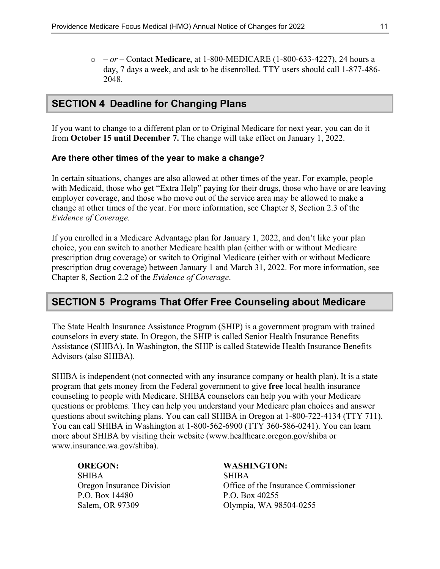o *– or –* Contact **Medicare**, at 1-800-MEDICARE (1-800-633-4227), 24 hours a day, 7 days a week, and ask to be disenrolled. TTY users should call 1-877-486 2048.

# <span id="page-12-0"></span>**SECTION 4 Deadline for Changing Plans**

If you want to change to a different plan or to Original Medicare for next year, you can do it from **October 15 until December 7.** The change will take effect on January 1, 2022.

#### **Are there other times of the year to make a change?**

In certain situations, changes are also allowed at other times of the year. For example, people with Medicaid, those who get "Extra Help" paying for their drugs, those who have or are leaving employer coverage, and those who move out of the service area may be allowed to make a change at other times of the year. For more information, see Chapter 8, Section 2.3 of the *Evidence of Coverage.* 

 Chapter 8, Section 2.2 of the *Evidence of Coverage*. If you enrolled in a Medicare Advantage plan for January 1, 2022, and don't like your plan choice, you can switch to another Medicare health plan (either with or without Medicare prescription drug coverage) or switch to Original Medicare (either with or without Medicare prescription drug coverage) between January 1 and March 31, 2022. For more information, see

# <span id="page-12-1"></span>**SECTION 5 Programs That Offer Free Counseling about Medicare**

The State Health Insurance Assistance Program (SHIP) is a government program with trained counselors in every state. In Oregon, the SHIP is called Senior Health Insurance Benefits Assistance (SHIBA). In Washington, the SHIP is called Statewide Health Insurance Benefits Advisors (also SHIBA).

SHIBA is independent (not connected with any insurance company or health plan). It is a state program that gets money from the Federal government to give **free** local health insurance counseling to people with Medicare. SHIBA counselors can help you with your Medicare questions or problems. They can help you understand your Medicare plan choices and answer questions about switching plans. You can call SHIBA in Oregon at 1-800-722-4134 (TTY 711). You can call SHIBA in Washington at 1-800-562-6900 (TTY 360-586-0241). You can learn more about SHIBA by visiting their website ([www.healthcare.oregon.gov/shiba](http://www.healthcare.oregon.gov/shiba) or [www.insurance.wa.gov/shiba\)](http://www.insurance.wa.gov/shiba).

SHIBA SHIBA P.O. Box 14480 P.O. Box 40255

# **OREGON: WASHINGTON:**

Oregon Insurance Division Office of the Insurance Commissioner Salem, OR 97309 Olympia, WA 98504-0255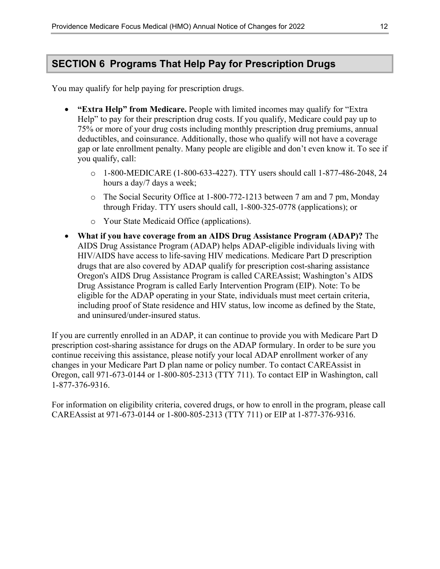# <span id="page-13-0"></span>**SECTION 6 Programs That Help Pay for Prescription Drugs**

You may qualify for help paying for prescription drugs.

- **"Extra Help" from Medicare.** People with limited incomes may qualify for "Extra Help" to pay for their prescription drug costs. If you qualify, Medicare could pay up to 75% or more of your drug costs including monthly prescription drug premiums, annual deductibles, and coinsurance. Additionally, those who qualify will not have a coverage gap or late enrollment penalty. Many people are eligible and don't even know it. To see if you qualify, call:
	- o 1-800-MEDICARE (1-800-633-4227). TTY users should call 1-877-486-2048, 24 hours a day/7 days a week;
	- o The Social Security Office at 1-800-772-1213 between 7 am and 7 pm, Monday through Friday. TTY users should call, 1-800-325-0778 (applications); or
	- o Your State Medicaid Office (applications).
- **What if you have coverage from an AIDS Drug Assistance Program (ADAP)?** The AIDS Drug Assistance Program (ADAP) helps ADAP-eligible individuals living with HIV/AIDS have access to life-saving HIV medications. Medicare Part D prescription drugs that are also covered by ADAP qualify for prescription cost-sharing assistance Oregon's AIDS Drug Assistance Program is called CAREAssist; Washington's AIDS Drug Assistance Program is called Early Intervention Program (EIP). Note: To be eligible for the ADAP operating in your State, individuals must meet certain criteria, including proof of State residence and HIV status, low income as defined by the State, and uninsured/under-insured status.

If you are currently enrolled in an ADAP, it can continue to provide you with Medicare Part D prescription cost-sharing assistance for drugs on the ADAP formulary. In order to be sure you continue receiving this assistance, please notify your local ADAP enrollment worker of any changes in your Medicare Part D plan name or policy number. To contact CAREAssist in Oregon, call 971-673-0144 or 1-800-805-2313 (TTY 711). To contact EIP in Washington, call 1-877-376-9316.

For information on eligibility criteria, covered drugs, or how to enroll in the program, please call CAREAssist at 971-673-0144 or 1-800-805-2313 (TTY 711) or EIP at 1-877-376-9316.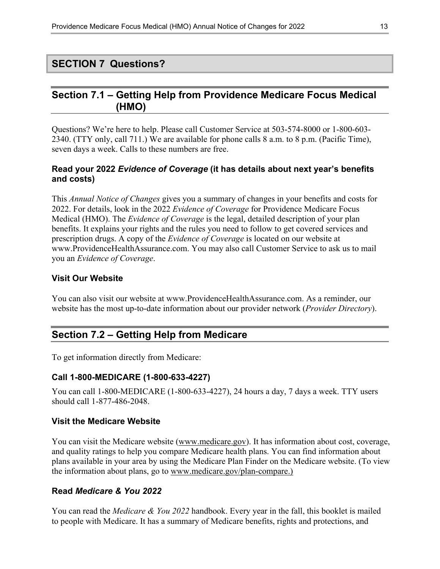# <span id="page-14-0"></span>**SECTION 7 Questions?**

# <span id="page-14-1"></span>**Section 7.1 – Getting Help from Providence Medicare Focus Medical (HMO)**

Questions? We're here to help. Please call Customer Service at 503-574-8000 or 1-800-603 2340. (TTY only, call 711.) We are available for phone calls 8 a.m. to 8 p.m. (Pacific Time), seven days a week. Calls to these numbers are free.

#### **Read your 2022** *Evidence of Coverage* **(it has details about next year's benefits and costs)**

This *Annual Notice of Changes* gives you a summary of changes in your benefits and costs for 2022. For details, look in the 2022 *Evidence of Coverage* for Providence Medicare Focus Medical (HMO). The *Evidence of Coverage* is the legal, detailed description of your plan benefits. It explains your rights and the rules you need to follow to get covered services and prescription drugs. A copy of the *Evidence of Coverage* is located on our website at [www.ProvidenceHealthAssurance.com.](http://www.ProvidenceHealthAssurance.com) You may also call Customer Service to ask us to mail you an *Evidence of Coverage*.

#### **Visit Our Website**

You can also visit our website at [www.ProvidenceHealthAssurance.com](http://www.ProvidenceHealthAssurance.com). As a reminder, our website has the most up-to-date information about our provider network (*Provider Directory*).

# <span id="page-14-2"></span>**Section 7.2 – Getting Help from Medicare**

To get information directly from Medicare:

#### **Call 1-800-MEDICARE (1-800-633-4227)**

You can call 1-800-MEDICARE (1-800-633-4227), 24 hours a day, 7 days a week. TTY users should call 1-877-486-2048.

#### **Visit the Medicare Website**

You can visit the Medicare website ([www.medicare.gov\)](http://www.medicare.gov/). It has information about cost, coverage, and quality ratings to help you compare Medicare health plans. You can find information about plans available in your area by using the Medicare Plan Finder on the Medicare website. (To view the information about plans, go to [www.medicare.gov/plan-compare.](http://www.medicare.gov/plan-compare))

#### **Read** *Medicare & You 2022*

You can read the *Medicare & You 2022* handbook. Every year in the fall, this booklet is mailed to people with Medicare. It has a summary of Medicare benefits, rights and protections, and